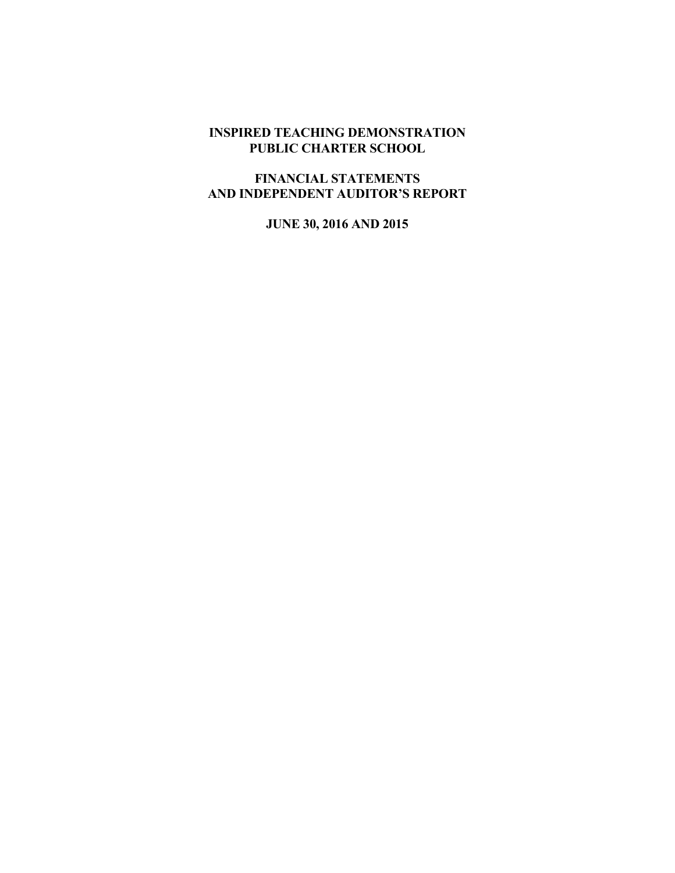# **INSPIRED TEACHING DEMONSTRATION PUBLIC CHARTER SCHOOL**

# **FINANCIAL STATEMENTS AND INDEPENDENT AUDITOR'S REPORT**

**JUNE 30, 2016 AND 2015**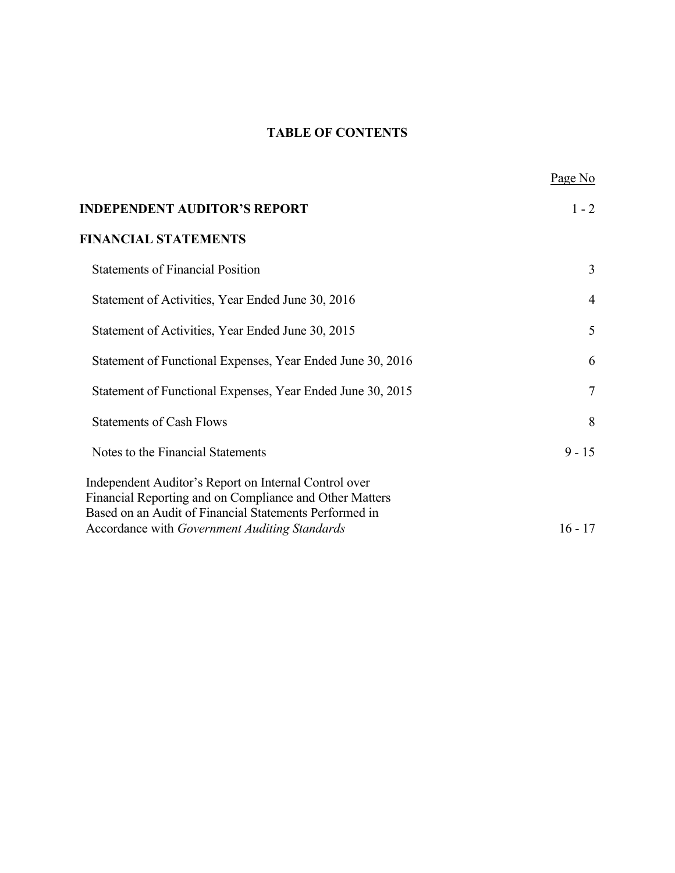# **TABLE OF CONTENTS**

|                                                                                                                                                                                                                             | Page No        |
|-----------------------------------------------------------------------------------------------------------------------------------------------------------------------------------------------------------------------------|----------------|
| <b>INDEPENDENT AUDITOR'S REPORT</b>                                                                                                                                                                                         | $1 - 2$        |
| <b>FINANCIAL STATEMENTS</b>                                                                                                                                                                                                 |                |
| <b>Statements of Financial Position</b>                                                                                                                                                                                     | 3              |
| Statement of Activities, Year Ended June 30, 2016                                                                                                                                                                           | $\overline{4}$ |
| Statement of Activities, Year Ended June 30, 2015                                                                                                                                                                           | 5              |
| Statement of Functional Expenses, Year Ended June 30, 2016                                                                                                                                                                  | 6              |
| Statement of Functional Expenses, Year Ended June 30, 2015                                                                                                                                                                  | $\tau$         |
| <b>Statements of Cash Flows</b>                                                                                                                                                                                             | 8              |
| Notes to the Financial Statements                                                                                                                                                                                           | $9 - 15$       |
| Independent Auditor's Report on Internal Control over<br>Financial Reporting and on Compliance and Other Matters<br>Based on an Audit of Financial Statements Performed in<br>Accordance with Government Auditing Standards | $16 - 17$      |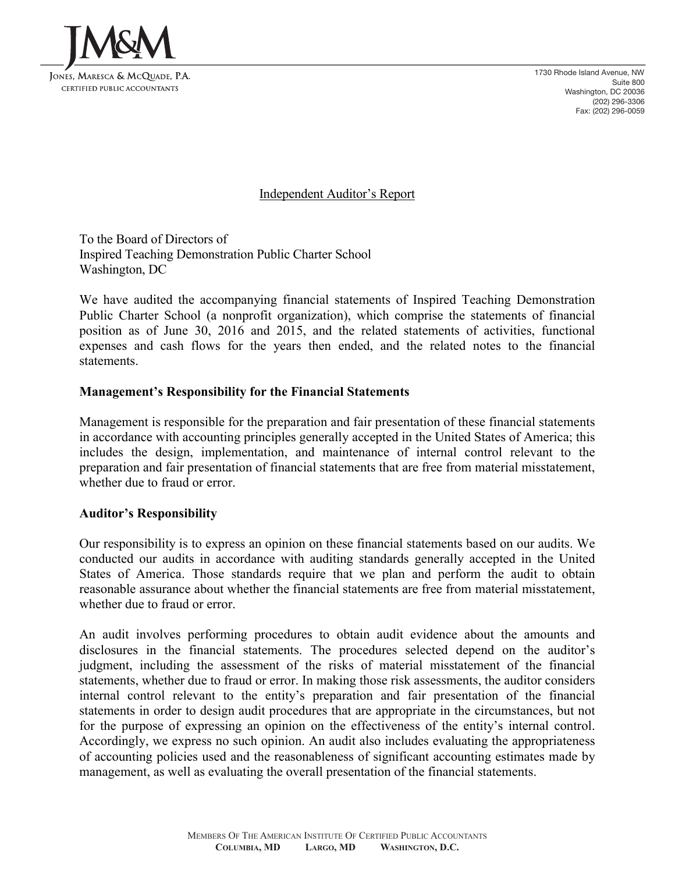

1730 Rhode Island Avenue, NW Suite 800 Washington, DC 20036 (202) 296-3306 Fax: (202) 296-0059

Independent Auditor's Report

To the Board of Directors of Inspired Teaching Demonstration Public Charter School Washington, DC

We have audited the accompanying financial statements of Inspired Teaching Demonstration Public Charter School (a nonprofit organization), which comprise the statements of financial position as of June 30, 2016 and 2015, and the related statements of activities, functional expenses and cash flows for the years then ended, and the related notes to the financial statements.

## **Management's Responsibility for the Financial Statements**

Management is responsible for the preparation and fair presentation of these financial statements in accordance with accounting principles generally accepted in the United States of America; this includes the design, implementation, and maintenance of internal control relevant to the preparation and fair presentation of financial statements that are free from material misstatement, whether due to fraud or error.

## **Auditor's Responsibility**

Our responsibility is to express an opinion on these financial statements based on our audits. We conducted our audits in accordance with auditing standards generally accepted in the United States of America. Those standards require that we plan and perform the audit to obtain reasonable assurance about whether the financial statements are free from material misstatement, whether due to fraud or error.

An audit involves performing procedures to obtain audit evidence about the amounts and disclosures in the financial statements. The procedures selected depend on the auditor's judgment, including the assessment of the risks of material misstatement of the financial statements, whether due to fraud or error. In making those risk assessments, the auditor considers internal control relevant to the entity's preparation and fair presentation of the financial statements in order to design audit procedures that are appropriate in the circumstances, but not for the purpose of expressing an opinion on the effectiveness of the entity's internal control. Accordingly, we express no such opinion. An audit also includes evaluating the appropriateness of accounting policies used and the reasonableness of significant accounting estimates made by management, as well as evaluating the overall presentation of the financial statements.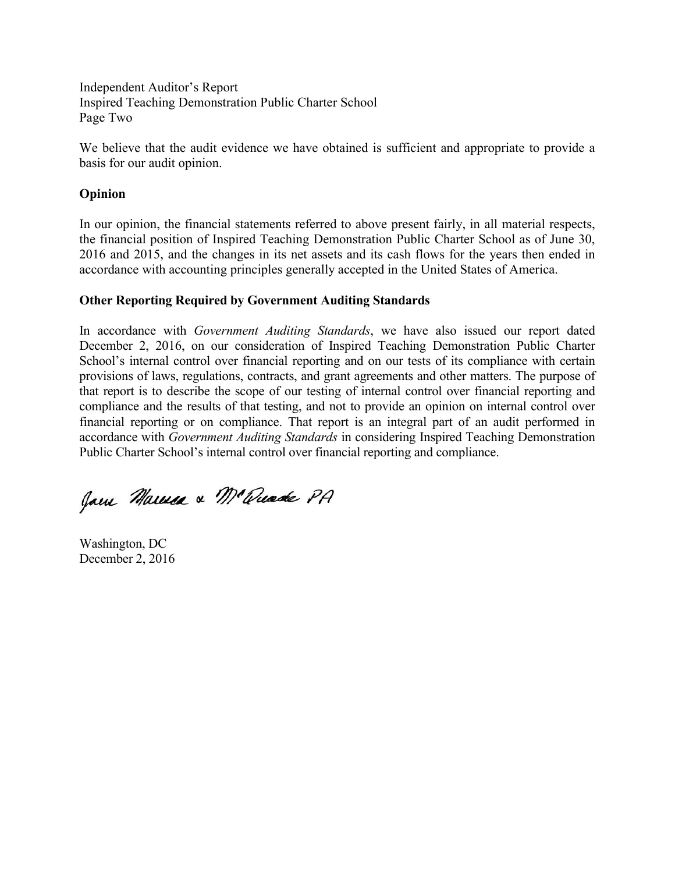Independent Auditor's Report Inspired Teaching Demonstration Public Charter School Page Two

We believe that the audit evidence we have obtained is sufficient and appropriate to provide a basis for our audit opinion.

## **Opinion**

In our opinion, the financial statements referred to above present fairly, in all material respects, the financial position of Inspired Teaching Demonstration Public Charter School as of June 30, 2016 and 2015, and the changes in its net assets and its cash flows for the years then ended in accordance with accounting principles generally accepted in the United States of America.

# **Other Reporting Required by Government Auditing Standards**

In accordance with *Government Auditing Standards*, we have also issued our report dated December 2, 2016, on our consideration of Inspired Teaching Demonstration Public Charter School's internal control over financial reporting and on our tests of its compliance with certain provisions of laws, regulations, contracts, and grant agreements and other matters. The purpose of that report is to describe the scope of our testing of internal control over financial reporting and compliance and the results of that testing, and not to provide an opinion on internal control over financial reporting or on compliance. That report is an integral part of an audit performed in accordance with *Government Auditing Standards* in considering Inspired Teaching Demonstration Public Charter School's internal control over financial reporting and compliance.

Jam Marie & M. Quade PA

Washington, DC December 2, 2016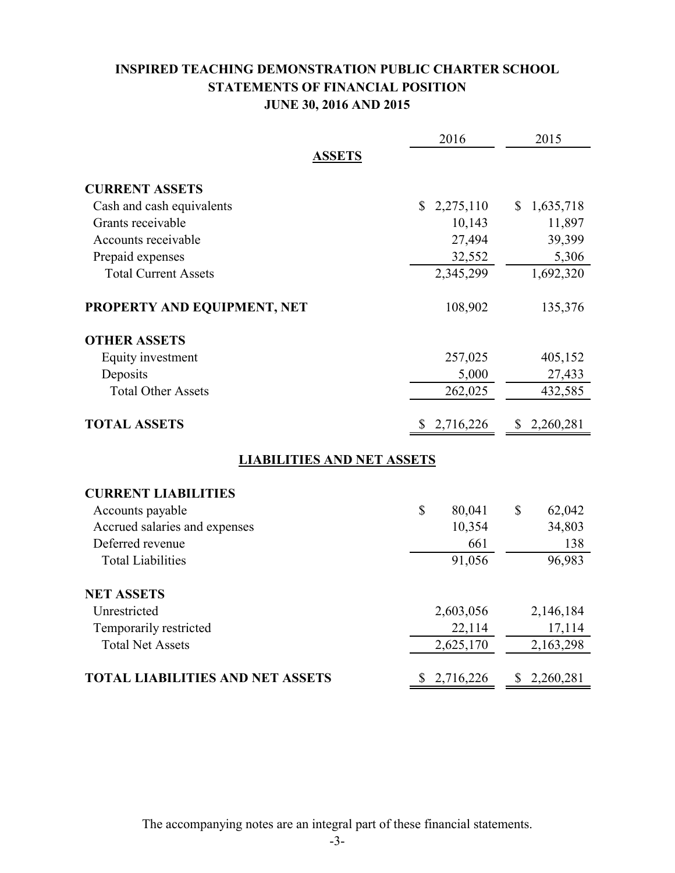# **INSPIRED TEACHING DEMONSTRATION PUBLIC CHARTER SCHOOL STATEMENTS OF FINANCIAL POSITION JUNE 30, 2016 AND 2015**

|                                         | 2016                      | 2015                      |
|-----------------------------------------|---------------------------|---------------------------|
| <b>ASSETS</b>                           |                           |                           |
| <b>CURRENT ASSETS</b>                   |                           |                           |
| Cash and cash equivalents               | $\mathbb{S}$<br>2,275,110 | 1,635,718<br>$\mathbb{S}$ |
| Grants receivable                       | 10,143                    | 11,897                    |
| Accounts receivable                     | 27,494                    | 39,399                    |
| Prepaid expenses                        | 32,552                    | 5,306                     |
| <b>Total Current Assets</b>             | 2,345,299                 | 1,692,320                 |
| PROPERTY AND EQUIPMENT, NET             | 108,902                   | 135,376                   |
| <b>OTHER ASSETS</b>                     |                           |                           |
| Equity investment                       | 257,025                   | 405,152                   |
| Deposits                                | 5,000                     | 27,433                    |
| <b>Total Other Assets</b>               | 262,025                   | 432,585                   |
| <b>TOTAL ASSETS</b>                     | 2,716,226<br>S.           | \$2,260,281               |
| <b>LIABILITIES AND NET ASSETS</b>       |                           |                           |
| <b>CURRENT LIABILITIES</b>              |                           |                           |
| Accounts payable                        | $\mathbf S$<br>80,041     | \$<br>62,042              |
| Accrued salaries and expenses           | 10,354                    | 34,803                    |
| Deferred revenue                        | 661                       | 138                       |
| <b>Total Liabilities</b>                | 91,056                    | 96,983                    |
| <b>NET ASSETS</b>                       |                           |                           |
| Unrestricted                            | 2,603,056                 | 2,146,184                 |
| Temporarily restricted                  | 22,114                    | 17,114                    |
| <b>Total Net Assets</b>                 | 2,625,170                 | 2,163,298                 |
| <b>TOTAL LIABILITIES AND NET ASSETS</b> | 2,716,226<br>\$           | \$<br>2,260,281           |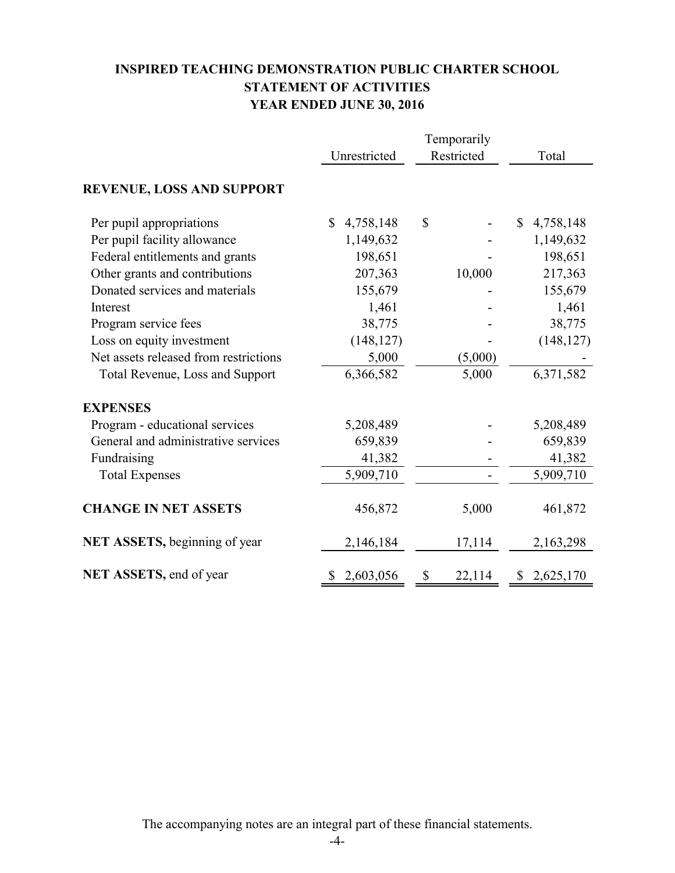# **INSPIRED TEACHING DEMONSTRATION PUBLIC CHARTER SCHOOL STATEMENT OF ACTIVITIES YEAR ENDED JUNE 30, 2016**

|                                       | Unrestricted              | Restricted   | Total                     |
|---------------------------------------|---------------------------|--------------|---------------------------|
| REVENUE, LOSS AND SUPPORT             |                           |              |                           |
| Per pupil appropriations              | $\mathbb{S}$<br>4,758,148 | \$           | $\mathbb{S}$<br>4,758,148 |
| Per pupil facility allowance          | 1,149,632                 |              | 1,149,632                 |
| Federal entitlements and grants       | 198,651                   |              | 198,651                   |
| Other grants and contributions        | 207,363                   | 10,000       | 217,363                   |
| Donated services and materials        | 155,679                   |              | 155,679                   |
| Interest                              | 1,461                     |              | 1,461                     |
| Program service fees                  | 38,775                    |              | 38,775                    |
| Loss on equity investment             | (148, 127)                |              | (148, 127)                |
| Net assets released from restrictions | 5,000                     | (5,000)      |                           |
| Total Revenue, Loss and Support       | 6,366,582                 | 5,000        | 6,371,582                 |
| <b>EXPENSES</b>                       |                           |              |                           |
| Program - educational services        | 5,208,489                 |              | 5,208,489                 |
| General and administrative services   | 659,839                   |              | 659,839                   |
| Fundraising                           | 41,382                    |              | 41,382                    |
| <b>Total Expenses</b>                 | 5,909,710                 |              | 5,909,710                 |
| <b>CHANGE IN NET ASSETS</b>           | 456,872                   | 5,000        | 461,872                   |
| NET ASSETS, beginning of year         | 2,146,184                 | 17,114       | 2,163,298                 |
| NET ASSETS, end of year               | 2,603,056                 | \$<br>22,114 | \$2,625,170               |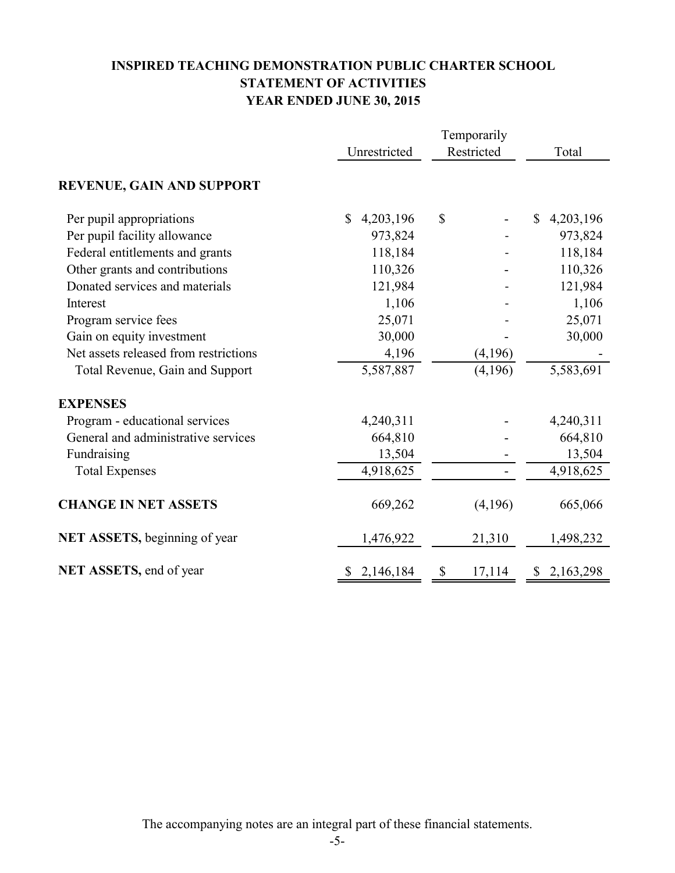# **INSPIRED TEACHING DEMONSTRATION PUBLIC CHARTER SCHOOL STATEMENT OF ACTIVITIES YEAR ENDED JUNE 30, 2015**

|                                       | Unrestricted              | Restricted   | Total           |
|---------------------------------------|---------------------------|--------------|-----------------|
| REVENUE, GAIN AND SUPPORT             |                           |              |                 |
| Per pupil appropriations              | $\mathbb{S}$<br>4,203,196 | $\mathbb{S}$ | 4,203,196<br>\$ |
| Per pupil facility allowance          | 973,824                   |              | 973,824         |
| Federal entitlements and grants       | 118,184                   |              | 118,184         |
| Other grants and contributions        | 110,326                   |              | 110,326         |
| Donated services and materials        | 121,984                   |              | 121,984         |
| Interest                              | 1,106                     |              | 1,106           |
| Program service fees                  | 25,071                    |              | 25,071          |
| Gain on equity investment             | 30,000                    |              | 30,000          |
| Net assets released from restrictions | 4,196                     | (4,196)      |                 |
| Total Revenue, Gain and Support       | 5,587,887                 | (4,196)      | 5,583,691       |
| <b>EXPENSES</b>                       |                           |              |                 |
| Program - educational services        | 4,240,311                 |              | 4,240,311       |
| General and administrative services   | 664,810                   |              | 664,810         |
| Fundraising                           | 13,504                    |              | 13,504          |
| <b>Total Expenses</b>                 | 4,918,625                 |              | 4,918,625       |
| <b>CHANGE IN NET ASSETS</b>           | 669,262                   | (4,196)      | 665,066         |
| NET ASSETS, beginning of year         | 1,476,922                 | 21,310       | 1,498,232       |
| NET ASSETS, end of year               | \$2,146,184               | 17,114<br>\$ | \$2,163,298     |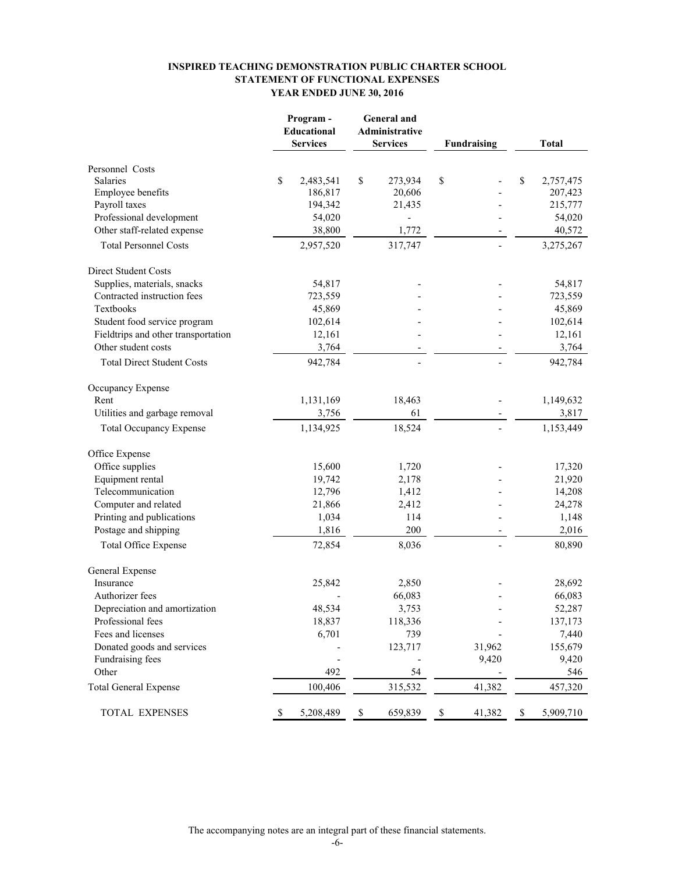#### **INSPIRED TEACHING DEMONSTRATION PUBLIC CHARTER SCHOOL STATEMENT OF FUNCTIONAL EXPENSES YEAR ENDED JUNE 30, 2016**

|                                     | Program-<br>Educational<br><b>Services</b> | <b>General</b> and<br>Administrative<br><b>Services</b> | <b>Fundraising</b>     | <b>Total</b>    |
|-------------------------------------|--------------------------------------------|---------------------------------------------------------|------------------------|-----------------|
|                                     |                                            |                                                         |                        |                 |
| Personnel Costs                     |                                            |                                                         |                        |                 |
| Salaries                            | \$<br>2,483,541                            | \$<br>273,934                                           | \$                     | \$<br>2,757,475 |
| Employee benefits                   | 186,817                                    | 20,606                                                  |                        | 207,423         |
| Payroll taxes                       | 194,342                                    | 21,435                                                  |                        | 215,777         |
| Professional development            | 54,020                                     |                                                         |                        | 54,020          |
| Other staff-related expense         | 38,800                                     | 1,772                                                   |                        | 40,572          |
| <b>Total Personnel Costs</b>        | 2,957,520                                  | 317,747                                                 |                        | 3,275,267       |
| <b>Direct Student Costs</b>         |                                            |                                                         |                        |                 |
| Supplies, materials, snacks         | 54,817                                     |                                                         |                        | 54,817          |
| Contracted instruction fees         | 723,559                                    |                                                         |                        | 723,559         |
| Textbooks                           | 45,869                                     |                                                         |                        | 45,869          |
| Student food service program        | 102,614                                    |                                                         |                        | 102,614         |
| Fieldtrips and other transportation | 12,161                                     |                                                         |                        | 12,161          |
| Other student costs                 | 3,764                                      |                                                         |                        | 3,764           |
| <b>Total Direct Student Costs</b>   | 942,784                                    |                                                         |                        | 942,784         |
| Occupancy Expense                   |                                            |                                                         |                        |                 |
| Rent                                | 1,131,169                                  | 18,463                                                  |                        | 1,149,632       |
| Utilities and garbage removal       | 3,756                                      | 61                                                      |                        | 3,817           |
| <b>Total Occupancy Expense</b>      | 1,134,925                                  | 18,524                                                  |                        | 1,153,449       |
| Office Expense                      |                                            |                                                         |                        |                 |
| Office supplies                     | 15,600                                     | 1,720                                                   |                        | 17,320          |
| Equipment rental                    | 19,742                                     | 2,178                                                   |                        | 21,920          |
| Telecommunication                   | 12,796                                     | 1,412                                                   |                        | 14,208          |
| Computer and related                | 21,866                                     | 2,412                                                   |                        | 24,278          |
| Printing and publications           | 1,034                                      | 114                                                     |                        | 1,148           |
| Postage and shipping                | 1,816                                      | 200                                                     |                        | 2,016           |
| <b>Total Office Expense</b>         | 72,854                                     | 8,036                                                   |                        | 80,890          |
| General Expense                     |                                            |                                                         |                        |                 |
| Insurance                           | 25,842                                     | 2,850                                                   |                        | 28,692          |
| Authorizer fees                     |                                            | 66,083                                                  |                        | 66,083          |
| Depreciation and amortization       | 48,534                                     | 3,753                                                   |                        | 52,287          |
| Professional fees                   | 18,837                                     | 118,336                                                 |                        | 137,173         |
| Fees and licenses                   | 6,701                                      | 739                                                     |                        | 7,440           |
| Donated goods and services          |                                            | 123,717                                                 | 31,962                 | 155,679         |
| Fundraising fees                    |                                            |                                                         | 9,420                  | 9,420           |
| Other                               | 492                                        | 54                                                      |                        | 546             |
| <b>Total General Expense</b>        | 100,406                                    | 315,532                                                 | 41,382                 | 457,320         |
| TOTAL EXPENSES                      | 5,208,489<br>\$                            | \$<br>659,839                                           | $\mathbb{S}$<br>41,382 | \$<br>5,909,710 |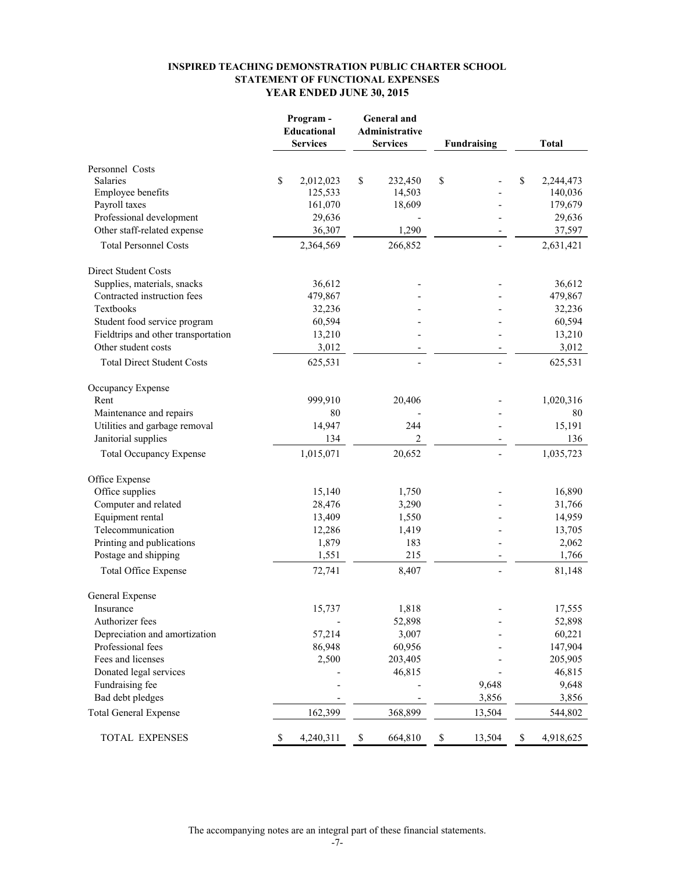#### **INSPIRED TEACHING DEMONSTRATION PUBLIC CHARTER SCHOOL STATEMENT OF FUNCTIONAL EXPENSES YEAR ENDED JUNE 30, 2015**

|                                     | <b>General</b> and<br>Program-<br>Educational<br>Administrative<br><b>Services</b><br><b>Services</b> |           | Fundraising |         |              | <b>Total</b> |              |           |
|-------------------------------------|-------------------------------------------------------------------------------------------------------|-----------|-------------|---------|--------------|--------------|--------------|-----------|
|                                     |                                                                                                       |           |             |         |              |              |              |           |
| Personnel Costs                     |                                                                                                       |           |             |         |              |              |              |           |
| <b>Salaries</b>                     | \$                                                                                                    | 2,012,023 | \$          | 232,450 | \$           |              | \$           | 2,244,473 |
| Employee benefits                   |                                                                                                       | 125,533   |             | 14,503  |              |              |              | 140,036   |
| Payroll taxes                       |                                                                                                       | 161,070   |             | 18,609  |              |              |              | 179,679   |
| Professional development            |                                                                                                       | 29,636    |             |         |              |              |              | 29,636    |
| Other staff-related expense         |                                                                                                       | 36,307    |             | 1,290   |              |              |              | 37,597    |
| <b>Total Personnel Costs</b>        |                                                                                                       | 2,364,569 |             | 266,852 |              |              |              | 2,631,421 |
| Direct Student Costs                |                                                                                                       |           |             |         |              |              |              |           |
| Supplies, materials, snacks         |                                                                                                       | 36,612    |             |         |              |              |              | 36,612    |
| Contracted instruction fees         |                                                                                                       | 479,867   |             |         |              |              |              | 479,867   |
| Textbooks                           |                                                                                                       | 32,236    |             |         |              |              |              | 32,236    |
| Student food service program        |                                                                                                       | 60,594    |             |         |              |              |              | 60,594    |
| Fieldtrips and other transportation |                                                                                                       | 13,210    |             |         |              |              |              | 13,210    |
| Other student costs                 |                                                                                                       | 3,012     |             |         |              |              |              | 3,012     |
| <b>Total Direct Student Costs</b>   |                                                                                                       | 625,531   |             |         |              |              |              | 625,531   |
| Occupancy Expense                   |                                                                                                       |           |             |         |              |              |              |           |
| Rent                                |                                                                                                       | 999,910   |             | 20,406  |              |              |              | 1,020,316 |
| Maintenance and repairs             |                                                                                                       | 80        |             |         |              |              |              | 80        |
| Utilities and garbage removal       |                                                                                                       | 14,947    |             | 244     |              |              |              | 15,191    |
| Janitorial supplies                 |                                                                                                       | 134       |             | 2       |              |              |              | 136       |
| <b>Total Occupancy Expense</b>      |                                                                                                       | 1,015,071 |             | 20,652  |              |              |              | 1,035,723 |
| Office Expense                      |                                                                                                       |           |             |         |              |              |              |           |
| Office supplies                     |                                                                                                       | 15,140    |             | 1,750   |              |              |              | 16,890    |
| Computer and related                |                                                                                                       | 28,476    |             | 3,290   |              |              |              | 31,766    |
| Equipment rental                    |                                                                                                       | 13,409    |             | 1,550   |              |              |              | 14,959    |
| Telecommunication                   |                                                                                                       | 12,286    |             | 1,419   |              |              |              | 13,705    |
| Printing and publications           |                                                                                                       | 1,879     |             | 183     |              |              |              | 2,062     |
| Postage and shipping                |                                                                                                       | 1,551     |             | 215     |              |              |              | 1,766     |
| <b>Total Office Expense</b>         |                                                                                                       | 72,741    |             | 8,407   |              |              |              | 81,148    |
| General Expense                     |                                                                                                       |           |             |         |              |              |              |           |
| Insurance                           |                                                                                                       | 15,737    |             | 1,818   |              |              |              | 17,555    |
| Authorizer fees                     |                                                                                                       |           |             | 52,898  |              |              |              | 52,898    |
| Depreciation and amortization       |                                                                                                       | 57,214    |             | 3,007   |              |              |              | 60,221    |
| Professional fees                   |                                                                                                       | 86,948    |             | 60,956  |              |              |              | 147,904   |
| Fees and licenses                   |                                                                                                       | 2,500     |             | 203,405 |              |              |              | 205,905   |
| Donated legal services              |                                                                                                       |           |             | 46,815  |              |              |              | 46,815    |
| Fundraising fee                     |                                                                                                       |           |             |         |              | 9,648        |              | 9,648     |
| Bad debt pledges                    |                                                                                                       |           |             |         |              | 3,856        |              | 3,856     |
| <b>Total General Expense</b>        |                                                                                                       | 162,399   |             | 368,899 |              | 13,504       |              | 544,802   |
| TOTAL EXPENSES                      | \$                                                                                                    | 4,240,311 | \$          | 664,810 | $\mathbb{S}$ | 13,504       | $\mathbb{S}$ | 4,918,625 |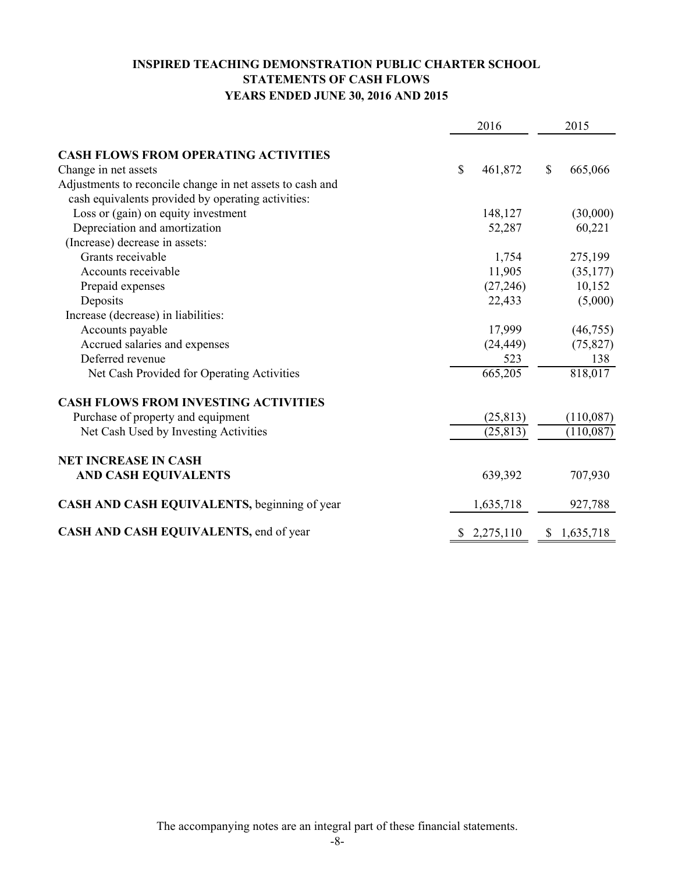# **INSPIRED TEACHING DEMONSTRATION PUBLIC CHARTER SCHOOL STATEMENTS OF CASH FLOWS YEARS ENDED JUNE 30, 2016 AND 2015**

|                                                           |    | 2016      |              | 2015      |  |
|-----------------------------------------------------------|----|-----------|--------------|-----------|--|
| <b>CASH FLOWS FROM OPERATING ACTIVITIES</b>               |    |           |              |           |  |
| Change in net assets                                      | \$ | 461,872   | $\mathbb{S}$ | 665,066   |  |
| Adjustments to reconcile change in net assets to cash and |    |           |              |           |  |
| cash equivalents provided by operating activities:        |    |           |              |           |  |
| Loss or (gain) on equity investment                       |    | 148,127   |              | (30,000)  |  |
| Depreciation and amortization                             |    | 52,287    |              | 60,221    |  |
| (Increase) decrease in assets:                            |    |           |              |           |  |
| Grants receivable                                         |    | 1,754     |              | 275,199   |  |
| Accounts receivable                                       |    | 11,905    |              | (35,177)  |  |
| Prepaid expenses                                          |    | (27, 246) |              | 10,152    |  |
| Deposits                                                  |    | 22,433    |              | (5,000)   |  |
| Increase (decrease) in liabilities:                       |    |           |              |           |  |
| Accounts payable                                          |    | 17,999    |              | (46, 755) |  |
| Accrued salaries and expenses                             |    | (24, 449) |              | (75, 827) |  |
| Deferred revenue                                          |    | 523       |              | 138       |  |
| Net Cash Provided for Operating Activities                |    | 665,205   |              | 818,017   |  |
| <b>CASH FLOWS FROM INVESTING ACTIVITIES</b>               |    |           |              |           |  |
| Purchase of property and equipment                        |    | (25, 813) |              | (110,087) |  |
| Net Cash Used by Investing Activities                     |    | (25, 813) |              | (110,087) |  |
| <b>NET INCREASE IN CASH</b>                               |    |           |              |           |  |
| <b>AND CASH EQUIVALENTS</b>                               |    | 639,392   |              | 707,930   |  |
| CASH AND CASH EQUIVALENTS, beginning of year              |    | 1,635,718 |              | 927,788   |  |
| CASH AND CASH EQUIVALENTS, end of year                    | \$ | 2,275,110 | \$           | 1,635,718 |  |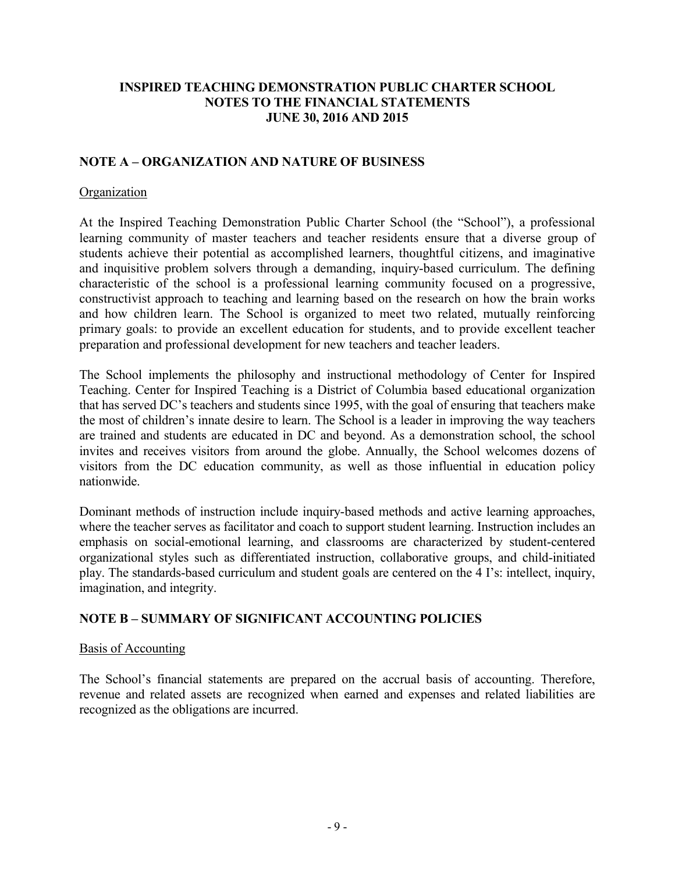# **NOTE A – ORGANIZATION AND NATURE OF BUSINESS**

### **Organization**

At the Inspired Teaching Demonstration Public Charter School (the "School"), a professional learning community of master teachers and teacher residents ensure that a diverse group of students achieve their potential as accomplished learners, thoughtful citizens, and imaginative and inquisitive problem solvers through a demanding, inquiry-based curriculum. The defining characteristic of the school is a professional learning community focused on a progressive, constructivist approach to teaching and learning based on the research on how the brain works and how children learn. The School is organized to meet two related, mutually reinforcing primary goals: to provide an excellent education for students, and to provide excellent teacher preparation and professional development for new teachers and teacher leaders.

The School implements the philosophy and instructional methodology of Center for Inspired Teaching. Center for Inspired Teaching is a District of Columbia based educational organization that has served DC's teachers and students since 1995, with the goal of ensuring that teachers make the most of children's innate desire to learn. The School is a leader in improving the way teachers are trained and students are educated in DC and beyond. As a demonstration school, the school invites and receives visitors from around the globe. Annually, the School welcomes dozens of visitors from the DC education community, as well as those influential in education policy nationwide.

Dominant methods of instruction include inquiry-based methods and active learning approaches, where the teacher serves as facilitator and coach to support student learning. Instruction includes an emphasis on social-emotional learning, and classrooms are characterized by student-centered organizational styles such as differentiated instruction, collaborative groups, and child-initiated play. The standards-based curriculum and student goals are centered on the 4 I's: intellect, inquiry, imagination, and integrity.

## **NOTE B – SUMMARY OF SIGNIFICANT ACCOUNTING POLICIES**

#### Basis of Accounting

The School's financial statements are prepared on the accrual basis of accounting. Therefore, revenue and related assets are recognized when earned and expenses and related liabilities are recognized as the obligations are incurred.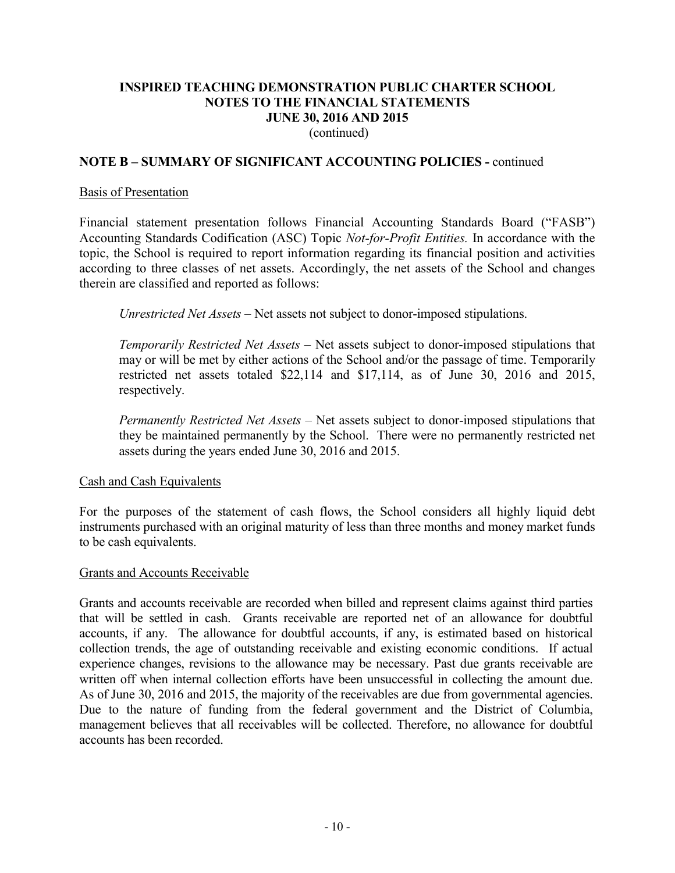## **NOTE B – SUMMARY OF SIGNIFICANT ACCOUNTING POLICIES -** continued

#### Basis of Presentation

Financial statement presentation follows Financial Accounting Standards Board ("FASB") Accounting Standards Codification (ASC) Topic *Not-for-Profit Entities.* In accordance with the topic, the School is required to report information regarding its financial position and activities according to three classes of net assets. Accordingly, the net assets of the School and changes therein are classified and reported as follows:

*Unrestricted Net Assets* – Net assets not subject to donor-imposed stipulations.

*Temporarily Restricted Net Assets* – Net assets subject to donor-imposed stipulations that may or will be met by either actions of the School and/or the passage of time. Temporarily restricted net assets totaled \$22,114 and \$17,114, as of June 30, 2016 and 2015, respectively.

*Permanently Restricted Net Assets* – Net assets subject to donor-imposed stipulations that they be maintained permanently by the School. There were no permanently restricted net assets during the years ended June 30, 2016 and 2015.

#### Cash and Cash Equivalents

For the purposes of the statement of cash flows, the School considers all highly liquid debt instruments purchased with an original maturity of less than three months and money market funds to be cash equivalents.

#### Grants and Accounts Receivable

Grants and accounts receivable are recorded when billed and represent claims against third parties that will be settled in cash. Grants receivable are reported net of an allowance for doubtful accounts, if any. The allowance for doubtful accounts, if any, is estimated based on historical collection trends, the age of outstanding receivable and existing economic conditions. If actual experience changes, revisions to the allowance may be necessary. Past due grants receivable are written off when internal collection efforts have been unsuccessful in collecting the amount due. As of June 30, 2016 and 2015, the majority of the receivables are due from governmental agencies. Due to the nature of funding from the federal government and the District of Columbia, management believes that all receivables will be collected. Therefore, no allowance for doubtful accounts has been recorded.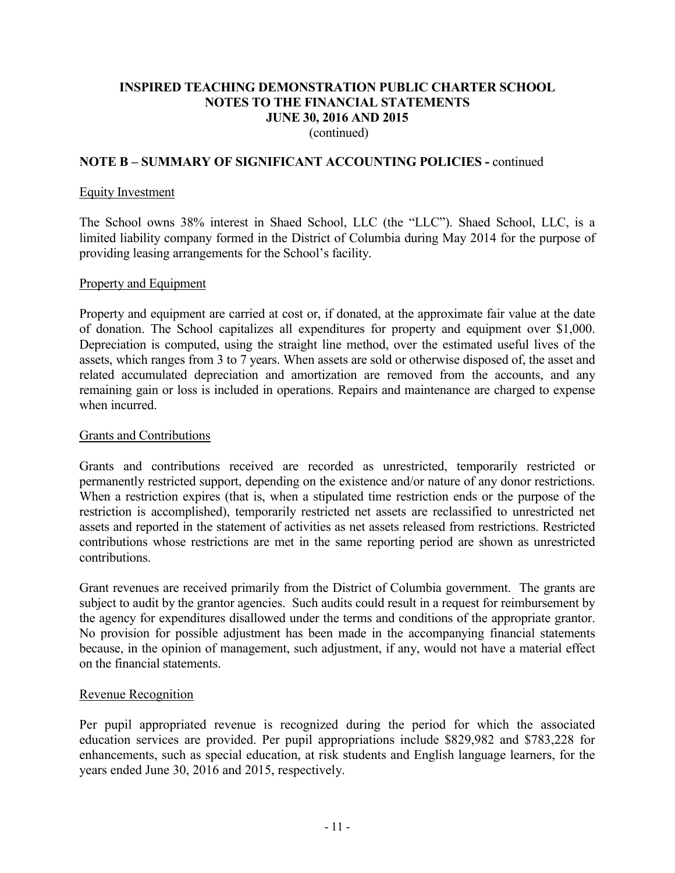## **NOTE B – SUMMARY OF SIGNIFICANT ACCOUNTING POLICIES -** continued

#### Equity Investment

The School owns 38% interest in Shaed School, LLC (the "LLC"). Shaed School, LLC, is a limited liability company formed in the District of Columbia during May 2014 for the purpose of providing leasing arrangements for the School's facility.

#### Property and Equipment

Property and equipment are carried at cost or, if donated, at the approximate fair value at the date of donation. The School capitalizes all expenditures for property and equipment over \$1,000. Depreciation is computed, using the straight line method, over the estimated useful lives of the assets, which ranges from 3 to 7 years. When assets are sold or otherwise disposed of, the asset and related accumulated depreciation and amortization are removed from the accounts, and any remaining gain or loss is included in operations. Repairs and maintenance are charged to expense when incurred.

#### Grants and Contributions

Grants and contributions received are recorded as unrestricted, temporarily restricted or permanently restricted support, depending on the existence and/or nature of any donor restrictions. When a restriction expires (that is, when a stipulated time restriction ends or the purpose of the restriction is accomplished), temporarily restricted net assets are reclassified to unrestricted net assets and reported in the statement of activities as net assets released from restrictions. Restricted contributions whose restrictions are met in the same reporting period are shown as unrestricted contributions.

Grant revenues are received primarily from the District of Columbia government. The grants are subject to audit by the grantor agencies. Such audits could result in a request for reimbursement by the agency for expenditures disallowed under the terms and conditions of the appropriate grantor. No provision for possible adjustment has been made in the accompanying financial statements because, in the opinion of management, such adjustment, if any, would not have a material effect on the financial statements.

## Revenue Recognition

Per pupil appropriated revenue is recognized during the period for which the associated education services are provided. Per pupil appropriations include \$829,982 and \$783,228 for enhancements, such as special education, at risk students and English language learners, for the years ended June 30, 2016 and 2015, respectively.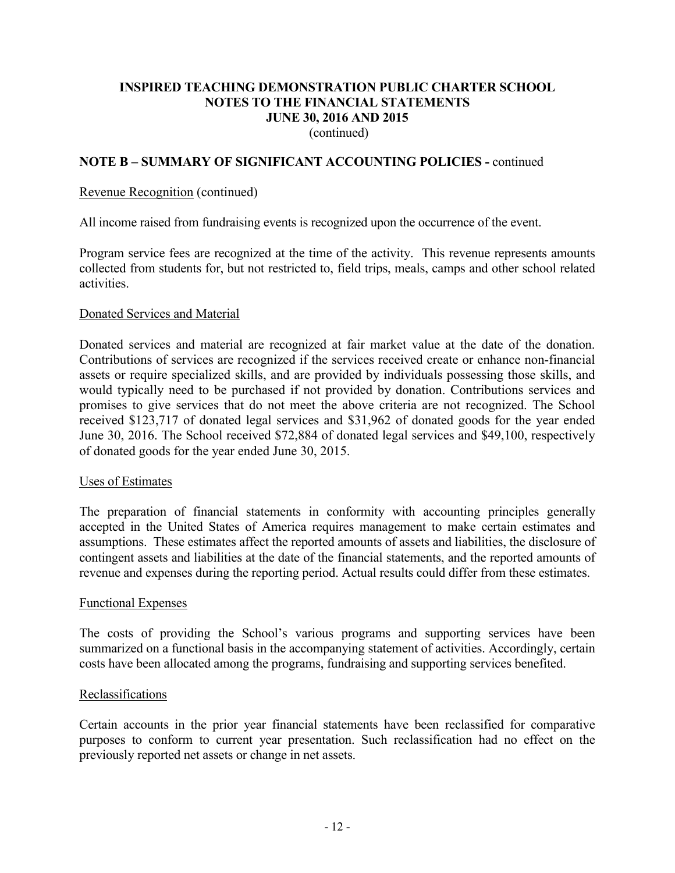### **NOTE B – SUMMARY OF SIGNIFICANT ACCOUNTING POLICIES -** continued

#### Revenue Recognition (continued)

All income raised from fundraising events is recognized upon the occurrence of the event.

Program service fees are recognized at the time of the activity. This revenue represents amounts collected from students for, but not restricted to, field trips, meals, camps and other school related activities.

#### Donated Services and Material

Donated services and material are recognized at fair market value at the date of the donation. Contributions of services are recognized if the services received create or enhance non-financial assets or require specialized skills, and are provided by individuals possessing those skills, and would typically need to be purchased if not provided by donation. Contributions services and promises to give services that do not meet the above criteria are not recognized. The School received \$123,717 of donated legal services and \$31,962 of donated goods for the year ended June 30, 2016. The School received \$72,884 of donated legal services and \$49,100, respectively of donated goods for the year ended June 30, 2015.

#### Uses of Estimates

The preparation of financial statements in conformity with accounting principles generally accepted in the United States of America requires management to make certain estimates and assumptions. These estimates affect the reported amounts of assets and liabilities, the disclosure of contingent assets and liabilities at the date of the financial statements, and the reported amounts of revenue and expenses during the reporting period. Actual results could differ from these estimates.

#### Functional Expenses

The costs of providing the School's various programs and supporting services have been summarized on a functional basis in the accompanying statement of activities. Accordingly, certain costs have been allocated among the programs, fundraising and supporting services benefited.

#### Reclassifications

Certain accounts in the prior year financial statements have been reclassified for comparative purposes to conform to current year presentation. Such reclassification had no effect on the previously reported net assets or change in net assets.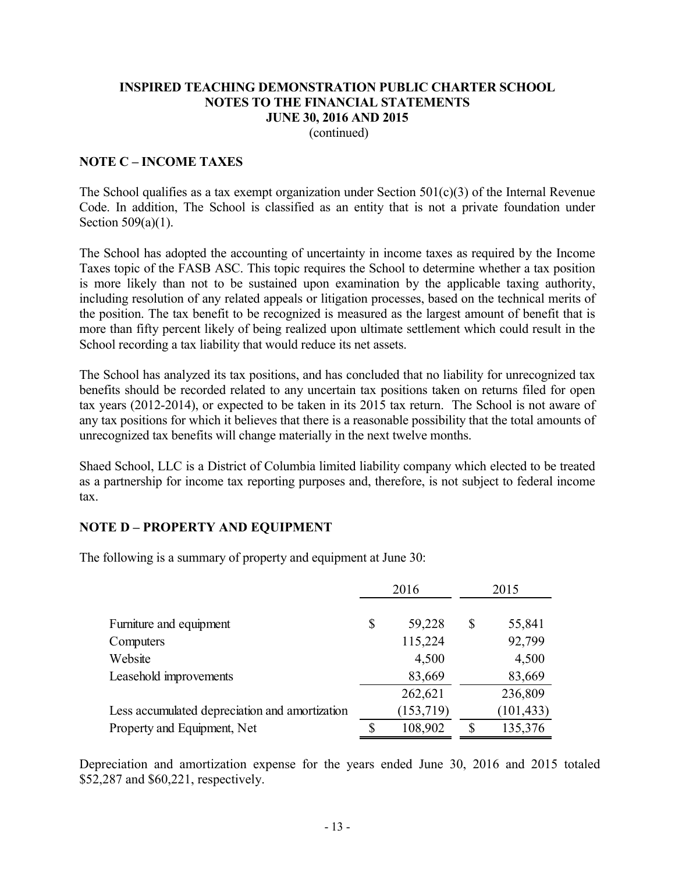(continued)

# **NOTE C – INCOME TAXES**

The School qualifies as a tax exempt organization under Section  $501(c)(3)$  of the Internal Revenue Code. In addition, The School is classified as an entity that is not a private foundation under Section  $509(a)(1)$ .

The School has adopted the accounting of uncertainty in income taxes as required by the Income Taxes topic of the FASB ASC. This topic requires the School to determine whether a tax position is more likely than not to be sustained upon examination by the applicable taxing authority, including resolution of any related appeals or litigation processes, based on the technical merits of the position. The tax benefit to be recognized is measured as the largest amount of benefit that is more than fifty percent likely of being realized upon ultimate settlement which could result in the School recording a tax liability that would reduce its net assets.

The School has analyzed its tax positions, and has concluded that no liability for unrecognized tax benefits should be recorded related to any uncertain tax positions taken on returns filed for open tax years (2012-2014), or expected to be taken in its 2015 tax return. The School is not aware of any tax positions for which it believes that there is a reasonable possibility that the total amounts of unrecognized tax benefits will change materially in the next twelve months.

Shaed School, LLC is a District of Columbia limited liability company which elected to be treated as a partnership for income tax reporting purposes and, therefore, is not subject to federal income tax.

# **NOTE D – PROPERTY AND EQUIPMENT**

The following is a summary of property and equipment at June 30:

|                                                |    | 2016       |    | 2015       |  |  |
|------------------------------------------------|----|------------|----|------------|--|--|
| Furniture and equipment                        | \$ | 59,228     | \$ | 55,841     |  |  |
| Computers                                      |    | 115,224    |    | 92,799     |  |  |
| Website                                        |    | 4,500      |    | 4,500      |  |  |
| Leasehold improvements                         |    | 83,669     |    | 83,669     |  |  |
|                                                |    | 262,621    |    | 236,809    |  |  |
| Less accumulated depreciation and amortization |    | (153, 719) |    | (101, 433) |  |  |
| Property and Equipment, Net                    | S  | 108,902    |    | 135,376    |  |  |

Depreciation and amortization expense for the years ended June 30, 2016 and 2015 totaled \$52,287 and \$60,221, respectively.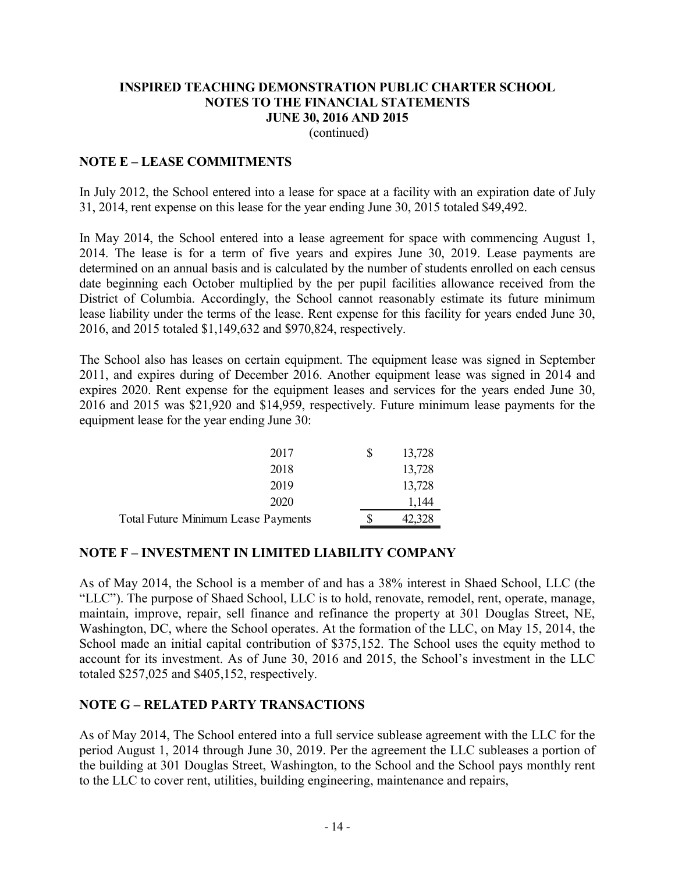(continued)

# **NOTE E – LEASE COMMITMENTS**

In July 2012, the School entered into a lease for space at a facility with an expiration date of July 31, 2014, rent expense on this lease for the year ending June 30, 2015 totaled \$49,492.

In May 2014, the School entered into a lease agreement for space with commencing August 1, 2014. The lease is for a term of five years and expires June 30, 2019. Lease payments are determined on an annual basis and is calculated by the number of students enrolled on each census date beginning each October multiplied by the per pupil facilities allowance received from the District of Columbia. Accordingly, the School cannot reasonably estimate its future minimum lease liability under the terms of the lease. Rent expense for this facility for years ended June 30, 2016, and 2015 totaled \$1,149,632 and \$970,824, respectively.

The School also has leases on certain equipment. The equipment lease was signed in September 2011, and expires during of December 2016. Another equipment lease was signed in 2014 and expires 2020. Rent expense for the equipment leases and services for the years ended June 30, 2016 and 2015 was \$21,920 and \$14,959, respectively. Future minimum lease payments for the equipment lease for the year ending June 30:

| 2017                                       | 13,728 |
|--------------------------------------------|--------|
| 2018                                       | 13,728 |
| 2019                                       | 13,728 |
| 2020                                       | 1,144  |
| <b>Total Future Minimum Lease Payments</b> | 42,328 |

# **NOTE F – INVESTMENT IN LIMITED LIABILITY COMPANY**

As of May 2014, the School is a member of and has a 38% interest in Shaed School, LLC (the "LLC"). The purpose of Shaed School, LLC is to hold, renovate, remodel, rent, operate, manage, maintain, improve, repair, sell finance and refinance the property at 301 Douglas Street, NE, Washington, DC, where the School operates. At the formation of the LLC, on May 15, 2014, the School made an initial capital contribution of \$375,152. The School uses the equity method to account for its investment. As of June 30, 2016 and 2015, the School's investment in the LLC totaled \$257,025 and \$405,152, respectively.

# **NOTE G – RELATED PARTY TRANSACTIONS**

As of May 2014, The School entered into a full service sublease agreement with the LLC for the period August 1, 2014 through June 30, 2019. Per the agreement the LLC subleases a portion of the building at 301 Douglas Street, Washington, to the School and the School pays monthly rent to the LLC to cover rent, utilities, building engineering, maintenance and repairs,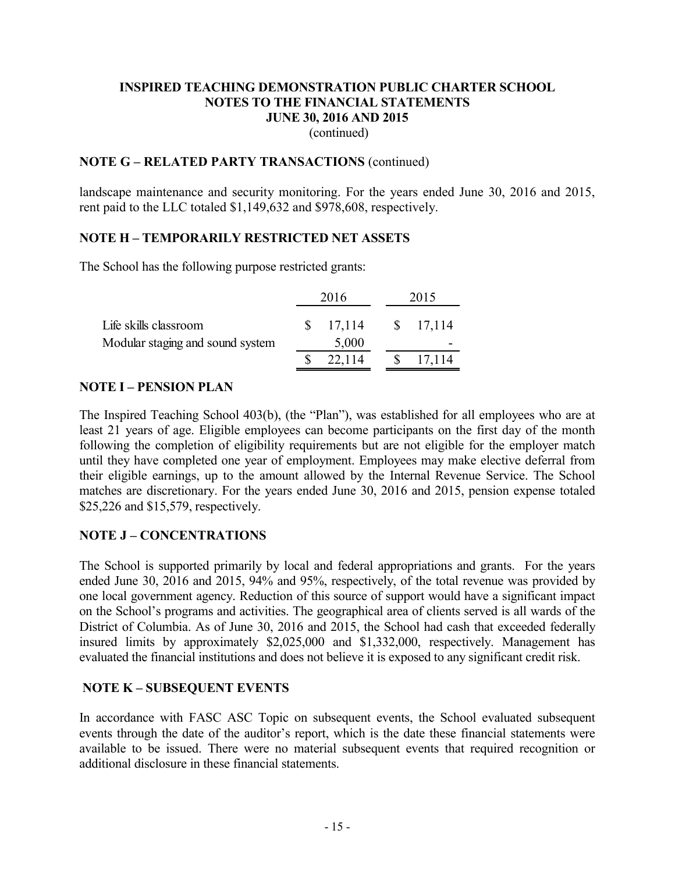(continued)

# **NOTE G – RELATED PARTY TRANSACTIONS** (continued)

landscape maintenance and security monitoring. For the years ended June 30, 2016 and 2015, rent paid to the LLC totaled \$1,149,632 and \$978,608, respectively.

# **NOTE H – TEMPORARILY RESTRICTED NET ASSETS**

The School has the following purpose restricted grants:

|                                  | 2016 |                    | 2015 |                    |
|----------------------------------|------|--------------------|------|--------------------|
| Life skills classroom            |      | $\frac{17,114}{ }$ |      | $\frac{17,114}{ }$ |
| Modular staging and sound system |      | 5,000              |      |                    |
|                                  |      | 22,114             | S.   | 17.114             |

# **NOTE I – PENSION PLAN**

The Inspired Teaching School 403(b), (the "Plan"), was established for all employees who are at least 21 years of age. Eligible employees can become participants on the first day of the month following the completion of eligibility requirements but are not eligible for the employer match until they have completed one year of employment. Employees may make elective deferral from their eligible earnings, up to the amount allowed by the Internal Revenue Service. The School matches are discretionary. For the years ended June 30, 2016 and 2015, pension expense totaled \$25,226 and \$15,579, respectively.

## **NOTE J – CONCENTRATIONS**

The School is supported primarily by local and federal appropriations and grants. For the years ended June 30, 2016 and 2015, 94% and 95%, respectively, of the total revenue was provided by one local government agency. Reduction of this source of support would have a significant impact on the School's programs and activities. The geographical area of clients served is all wards of the District of Columbia. As of June 30, 2016 and 2015, the School had cash that exceeded federally insured limits by approximately \$2,025,000 and \$1,332,000, respectively. Management has evaluated the financial institutions and does not believe it is exposed to any significant credit risk.

# **NOTE K – SUBSEQUENT EVENTS**

In accordance with FASC ASC Topic on subsequent events, the School evaluated subsequent events through the date of the auditor's report, which is the date these financial statements were available to be issued. There were no material subsequent events that required recognition or additional disclosure in these financial statements.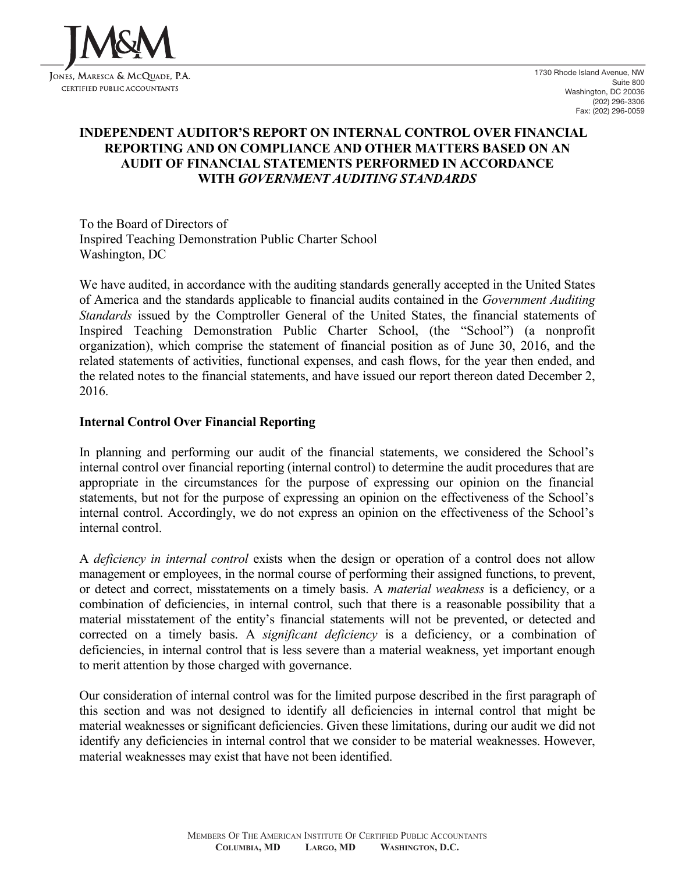

# **INDEPENDENT AUDITOR'S REPORT ON INTERNAL CONTROL OVER FINANCIAL REPORTING AND ON COMPLIANCE AND OTHER MATTERS BASED ON AN AUDIT OF FINANCIAL STATEMENTS PERFORMED IN ACCORDANCE WITH** *GOVERNMENT AUDITING STANDARDS*

To the Board of Directors of Inspired Teaching Demonstration Public Charter School Washington, DC

We have audited, in accordance with the auditing standards generally accepted in the United States of America and the standards applicable to financial audits contained in the *Government Auditing Standards* issued by the Comptroller General of the United States, the financial statements of Inspired Teaching Demonstration Public Charter School, (the "School") (a nonprofit organization), which comprise the statement of financial position as of June 30, 2016, and the related statements of activities, functional expenses, and cash flows, for the year then ended, and the related notes to the financial statements, and have issued our report thereon dated December 2, 2016.

# **Internal Control Over Financial Reporting**

In planning and performing our audit of the financial statements, we considered the School's internal control over financial reporting (internal control) to determine the audit procedures that are appropriate in the circumstances for the purpose of expressing our opinion on the financial statements, but not for the purpose of expressing an opinion on the effectiveness of the School's internal control. Accordingly, we do not express an opinion on the effectiveness of the School's internal control.

A *deficiency in internal control* exists when the design or operation of a control does not allow management or employees, in the normal course of performing their assigned functions, to prevent, or detect and correct, misstatements on a timely basis. A *material weakness* is a deficiency, or a combination of deficiencies, in internal control, such that there is a reasonable possibility that a material misstatement of the entity's financial statements will not be prevented, or detected and corrected on a timely basis. A *significant deficiency* is a deficiency, or a combination of deficiencies, in internal control that is less severe than a material weakness, yet important enough to merit attention by those charged with governance.

Our consideration of internal control was for the limited purpose described in the first paragraph of this section and was not designed to identify all deficiencies in internal control that might be material weaknesses or significant deficiencies. Given these limitations, during our audit we did not identify any deficiencies in internal control that we consider to be material weaknesses. However, material weaknesses may exist that have not been identified.